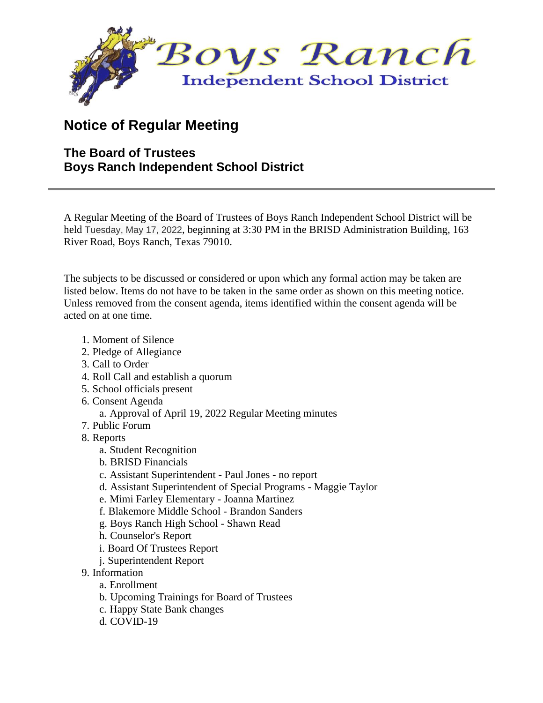

## **Notice of Regular Meeting**

## **The Board of Trustees Boys Ranch Independent School District**

A Regular Meeting of the Board of Trustees of Boys Ranch Independent School District will be held Tuesday, May 17, 2022, beginning at 3:30 PM in the BRISD Administration Building, 163 River Road, Boys Ranch, Texas 79010.

The subjects to be discussed or considered or upon which any formal action may be taken are listed below. Items do not have to be taken in the same order as shown on this meeting notice. Unless removed from the consent agenda, items identified within the consent agenda will be acted on at one time.

- 1. Moment of Silence
- 2. Pledge of Allegiance
- 3. Call to Order
- 4. Roll Call and establish a quorum
- 5. School officials present
- 6. Consent Agenda
	- a. Approval of April 19, 2022 Regular Meeting minutes
- 7. Public Forum
- 8. Reports
	- a. Student Recognition
	- b. BRISD Financials
	- c. Assistant Superintendent Paul Jones no report
	- d. Assistant Superintendent of Special Programs Maggie Taylor
	- e. Mimi Farley Elementary Joanna Martinez
	- f. Blakemore Middle School Brandon Sanders
	- g. Boys Ranch High School Shawn Read
	- h. Counselor's Report
	- i. Board Of Trustees Report
	- j. Superintendent Report
- 9. Information
	- a. Enrollment
	- b. Upcoming Trainings for Board of Trustees
	- c. Happy State Bank changes
	- d. COVID-19